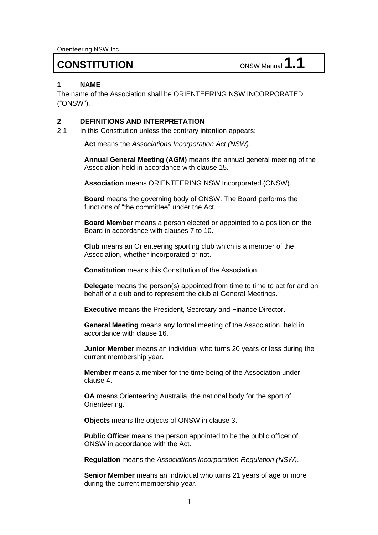Orienteering NSW Inc.

# **CONSTITUTION** ONSW Manual **1.1**

## **1 NAME**

The name of the Association shall be ORIENTEERING NSW INCORPORATED ("ONSW").

#### **2 DEFINITIONS AND INTERPRETATION**

2.1 In this Constitution unless the contrary intention appears:

**Act** means the *Associations Incorporation Act (NSW)*.

**Annual General Meeting (AGM)** means the annual general meeting of the Association held in accordance with clause 15.

**Association** means ORIENTEERING NSW Incorporated (ONSW).

**Board** means the governing body of ONSW. The Board performs the functions of "the committee" under the Act.

**Board Member** means a person elected or appointed to a position on the Board in accordance with clauses 7 to 10.

**Club** means an Orienteering sporting club which is a member of the Association, whether incorporated or not.

**Constitution** means this Constitution of the Association.

**Delegate** means the person(s) appointed from time to time to act for and on behalf of a club and to represent the club at General Meetings.

**Executive** means the President, Secretary and Finance Director.

**General Meeting** means any formal meeting of the Association, held in accordance with clause 16.

**Junior Member** means an individual who turns 20 years or less during the current membership year**.**

**Member** means a member for the time being of the Association under clause 4.

**OA** means Orienteering Australia, the national body for the sport of Orienteering.

**Objects** means the objects of ONSW in clause 3.

**Public Officer** means the person appointed to be the public officer of ONSW in accordance with the Act.

**Regulation** means the *Associations Incorporation Regulation (NSW)*.

**Senior Member** means an individual who turns 21 years of age or more during the current membership year.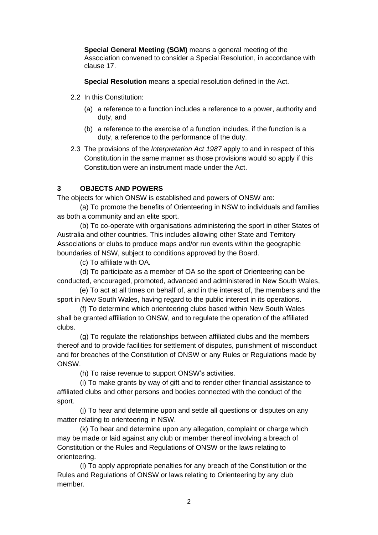**Special General Meeting (SGM)** means a general meeting of the Association convened to consider a Special Resolution, in accordance with clause 17.

**Special Resolution** means a special resolution defined in the Act.

- 2.2 In this Constitution:
	- (a) a reference to a function includes a reference to a power, authority and duty, and
	- (b) a reference to the exercise of a function includes, if the function is a duty, a reference to the performance of the duty.
- 2.3 The provisions of the *[Interpretation Act 1987](http://www.legislation.nsw.gov.au/xref/inforce/?xref=Type%3Dact%20AND%20Year%3D1987%20AND%20no%3D15&nohits=y)* apply to and in respect of this Constitution in the same manner as those provisions would so apply if this Constitution were an instrument made under the Act.

## **3 OBJECTS AND POWERS**

The objects for which ONSW is established and powers of ONSW are:

(a) To promote the benefits of Orienteering in NSW to individuals and families as both a community and an elite sport.

(b) To co-operate with organisations administering the sport in other States of Australia and other countries. This includes allowing other State and Territory Associations or clubs to produce maps and/or run events within the geographic boundaries of NSW, subject to conditions approved by the Board.

(c) To affiliate with OA.

(d) To participate as a member of OA so the sport of Orienteering can be conducted, encouraged, promoted, advanced and administered in New South Wales,

(e) To act at all times on behalf of, and in the interest of, the members and the sport in New South Wales, having regard to the public interest in its operations.

(f) To determine which orienteering clubs based within New South Wales shall be granted affiliation to ONSW, and to regulate the operation of the affiliated clubs.

(g) To regulate the relationships between affiliated clubs and the members thereof and to provide facilities for settlement of disputes, punishment of misconduct and for breaches of the Constitution of ONSW or any Rules or Regulations made by ONSW.

(h) To raise revenue to support ONSW's activities.

(i) To make grants by way of gift and to render other financial assistance to affiliated clubs and other persons and bodies connected with the conduct of the sport.

(j) To hear and determine upon and settle all questions or disputes on any matter relating to orienteering in NSW.

(k) To hear and determine upon any allegation, complaint or charge which may be made or laid against any club or member thereof involving a breach of Constitution or the Rules and Regulations of ONSW or the laws relating to orienteering.

(l) To apply appropriate penalties for any breach of the Constitution or the Rules and Regulations of ONSW or laws relating to Orienteering by any club member.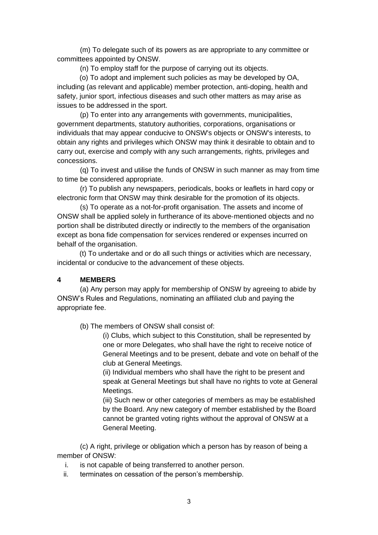(m) To delegate such of its powers as are appropriate to any committee or committees appointed by ONSW.

(n) To employ staff for the purpose of carrying out its objects.

(o) To adopt and implement such policies as may be developed by OA, including (as relevant and applicable) member protection, anti-doping, health and safety, junior sport, infectious diseases and such other matters as may arise as issues to be addressed in the sport.

(p) To enter into any arrangements with governments, municipalities, government departments, statutory authorities, corporations, organisations or individuals that may appear conducive to ONSW's objects or ONSW's interests, to obtain any rights and privileges which ONSW may think it desirable to obtain and to carry out, exercise and comply with any such arrangements, rights, privileges and concessions.

(q) To invest and utilise the funds of ONSW in such manner as may from time to time be considered appropriate.

(r) To publish any newspapers, periodicals, books or leaflets in hard copy or electronic form that ONSW may think desirable for the promotion of its objects.

(s) To operate as a not-for-profit organisation. The assets and income of ONSW shall be applied solely in furtherance of its above‑mentioned objects and no portion shall be distributed directly or indirectly to the members of the organisation except as bona fide compensation for services rendered or expenses incurred on behalf of the organisation.

(t) To undertake and or do all such things or activities which are necessary, incidental or conducive to the advancement of these objects.

#### **4 MEMBERS**

(a) Any person may apply for membership of ONSW by agreeing to abide by ONSW's Rules and Regulations, nominating an affiliated club and paying the appropriate fee.

(b) The members of ONSW shall consist of:

(i) Clubs, which subject to this Constitution, shall be represented by one or more Delegates, who shall have the right to receive notice of General Meetings and to be present, debate and vote on behalf of the club at General Meetings.

(ii) Individual members who shall have the right to be present and speak at General Meetings but shall have no rights to vote at General Meetings.

(iii) Such new or other categories of members as may be established by the Board. Any new category of member established by the Board cannot be granted voting rights without the approval of ONSW at a General Meeting.

(c) A right, privilege or obligation which a person has by reason of being a member of ONSW:

- i. is not capable of being transferred to another person.
- ii. terminates on cessation of the person's membership.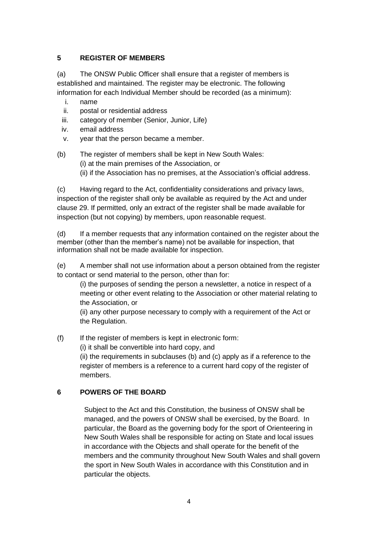# **5 REGISTER OF MEMBERS**

(a) The ONSW Public Officer shall ensure that a register of members is established and maintained. The register may be electronic. The following information for each Individual Member should be recorded (as a minimum):

- i. name
- ii. postal or residential address
- iii. category of member (Senior, Junior, Life)
- iv. email address
- v. year that the person became a member.
- (b) The register of members shall be kept in New South Wales: (i) at the main premises of the Association, or (ii) if the Association has no premises, at the Association's official address.

(c) Having regard to the Act, confidentiality considerations and privacy laws, inspection of the register shall only be available as required by the Act and under clause 29. If permitted, only an extract of the register shall be made available for inspection (but not copying) by members, upon reasonable request.

(d) If a member requests that any information contained on the register about the member (other than the member's name) not be available for inspection, that information shall not be made available for inspection.

(e) A member shall not use information about a person obtained from the register to contact or send material to the person, other than for:

(i) the purposes of sending the person a newsletter, a notice in respect of a meeting or other event relating to the Association or other material relating to the Association, or

(ii) any other purpose necessary to comply with a requirement of the Act or the Regulation.

(f) If the register of members is kept in electronic form:

(i) it shall be convertible into hard copy, and

(ii) the requirements in subclauses (b) and (c) apply as if a reference to the register of members is a reference to a current hard copy of the register of members.

## **6 POWERS OF THE BOARD**

Subject to the Act and this Constitution, the business of ONSW shall be managed, and the powers of ONSW shall be exercised, by the Board. In particular, the Board as the governing body for the sport of Orienteering in New South Wales shall be responsible for acting on State and local issues in accordance with the Objects and shall operate for the benefit of the members and the community throughout New South Wales and shall govern the sport in New South Wales in accordance with this Constitution and in particular the objects.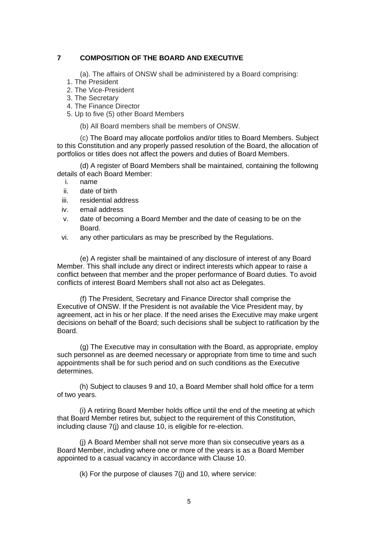## **7 COMPOSITION OF THE BOARD AND EXECUTIVE**

- (a). The affairs of ONSW shall be administered by a Board comprising:
- 1. The President
- 2. The Vice-President
- 3. The Secretary
- 4. The Finance Director
- 5. Up to five (5) other Board Members

(b) All Board members shall be members of ONSW.

(c) The Board may allocate portfolios and/or titles to Board Members. Subject to this Constitution and any properly passed resolution of the Board, the allocation of portfolios or titles does not affect the powers and duties of Board Members.

(d) A register of Board Members shall be maintained, containing the following details of each Board Member:

- i. name
- ii. date of birth
- iii. residential address
- iv. email address
- v. date of becoming a Board Member and the date of ceasing to be on the Board.
- vi. any other particulars as may be prescribed by the Regulations.

(e) A register shall be maintained of any disclosure of interest of any Board Member. This shall include any direct or indirect interests which appear to raise a conflict between that member and the proper performance of Board duties. To avoid conflicts of interest Board Members shall not also act as Delegates.

(f) The President, Secretary and Finance Director shall comprise the Executive of ONSW. If the President is not available the Vice President may, by agreement, act in his or her place. If the need arises the Executive may make urgent decisions on behalf of the Board; such decisions shall be subject to ratification by the Board.

(g) The Executive may in consultation with the Board, as appropriate, employ such personnel as are deemed necessary or appropriate from time to time and such appointments shall be for such period and on such conditions as the Executive determines.

(h) Subject to clauses 9 and 10, a Board Member shall hold office for a term of two years.

(i) A retiring Board Member holds office until the end of the meeting at which that Board Member retires but, subject to the requirement of this Constitution, including clause 7(j) and clause 10, is eligible for re-election.

(j) A Board Member shall not serve more than six consecutive years as a Board Member, including where one or more of the years is as a Board Member appointed to a casual vacancy in accordance with Clause 10.

(k) For the purpose of clauses 7(j) and 10, where service: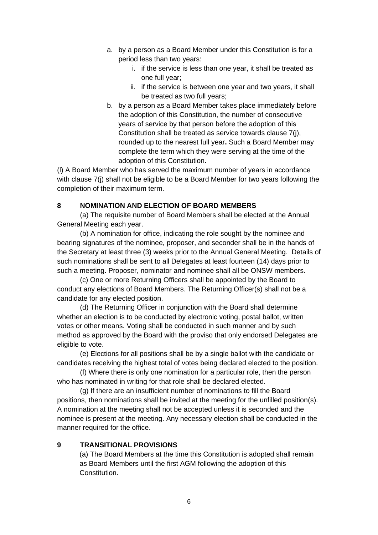- a. by a person as a Board Member under this Constitution is for a period less than two years:
	- i. if the service is less than one year, it shall be treated as one full year;
	- ii. if the service is between one year and two years, it shall be treated as two full years;
- b. by a person as a Board Member takes place immediately before the adoption of this Constitution, the number of consecutive years of service by that person before the adoption of this Constitution shall be treated as service towards clause 7(j), rounded up to the nearest full year**.** Such a Board Member may complete the term which they were serving at the time of the adoption of this Constitution.

(l) A Board Member who has served the maximum number of years in accordance with clause 7(j) shall not be eligible to be a Board Member for two years following the completion of their maximum term.

## **8 NOMINATION AND ELECTION OF BOARD MEMBERS**

(a) The requisite number of Board Members shall be elected at the Annual General Meeting each year.

(b) A nomination for office, indicating the role sought by the nominee and bearing signatures of the nominee, proposer, and seconder shall be in the hands of the Secretary at least three (3) weeks prior to the Annual General Meeting. Details of such nominations shall be sent to all Delegates at least fourteen (14) days prior to such a meeting. Proposer, nominator and nominee shall all be ONSW members.

(c) One or more Returning Officers shall be appointed by the Board to conduct any elections of Board Members. The Returning Officer(s) shall not be a candidate for any elected position.

(d) The Returning Officer in conjunction with the Board shall determine whether an election is to be conducted by electronic voting, postal ballot, written votes or other means. Voting shall be conducted in such manner and by such method as approved by the Board with the proviso that only endorsed Delegates are eligible to vote.

(e) Elections for all positions shall be by a single ballot with the candidate or candidates receiving the highest total of votes being declared elected to the position.

(f) Where there is only one nomination for a particular role, then the person who has nominated in writing for that role shall be declared elected.

(g) If there are an insufficient number of nominations to fill the Board positions, then nominations shall be invited at the meeting for the unfilled position(s). A nomination at the meeting shall not be accepted unless it is seconded and the nominee is present at the meeting. Any necessary election shall be conducted in the manner required for the office.

#### **9 TRANSITIONAL PROVISIONS**

(a) The Board Members at the time this Constitution is adopted shall remain as Board Members until the first AGM following the adoption of this Constitution.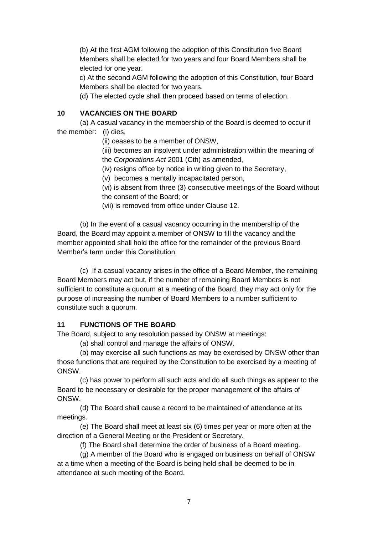(b) At the first AGM following the adoption of this Constitution five Board Members shall be elected for two years and four Board Members shall be elected for one year.

c) At the second AGM following the adoption of this Constitution, four Board Members shall be elected for two years.

(d) The elected cycle shall then proceed based on terms of election.

## **10 VACANCIES ON THE BOARD**

(a) A casual vacancy in the membership of the Board is deemed to occur if the member: (i) dies,

(ii) ceases to be a member of ONSW,

(iii) becomes an insolvent under administration within the meaning of the *Corporations Act* 2001 (Cth) as amended,

(iv) resigns office by notice in writing given to the Secretary,

(v) becomes a mentally incapacitated person,

(vi) is absent from three (3) consecutive meetings of the Board without the consent of the Board; or

(vii) is removed from office under Clause 12.

(b) In the event of a casual vacancy occurring in the membership of the Board, the Board may appoint a member of ONSW to fill the vacancy and the member appointed shall hold the office for the remainder of the previous Board Member's term under this Constitution.

(c) If a casual vacancy arises in the office of a Board Member, the remaining Board Members may act but, if the number of remaining Board Members is not sufficient to constitute a quorum at a meeting of the Board, they may act only for the purpose of increasing the number of Board Members to a number sufficient to constitute such a quorum.

## **11 FUNCTIONS OF THE BOARD**

The Board, subject to any resolution passed by ONSW at meetings:

(a) shall control and manage the affairs of ONSW.

(b) may exercise all such functions as may be exercised by ONSW other than those functions that are required by the Constitution to be exercised by a meeting of ONSW.

(c) has power to perform all such acts and do all such things as appear to the Board to be necessary or desirable for the proper management of the affairs of ONSW.

(d) The Board shall cause a record to be maintained of attendance at its meetings.

(e) The Board shall meet at least six (6) times per year or more often at the direction of a General Meeting or the President or Secretary.

(f) The Board shall determine the order of business of a Board meeting.

(g) A member of the Board who is engaged on business on behalf of ONSW at a time when a meeting of the Board is being held shall be deemed to be in attendance at such meeting of the Board.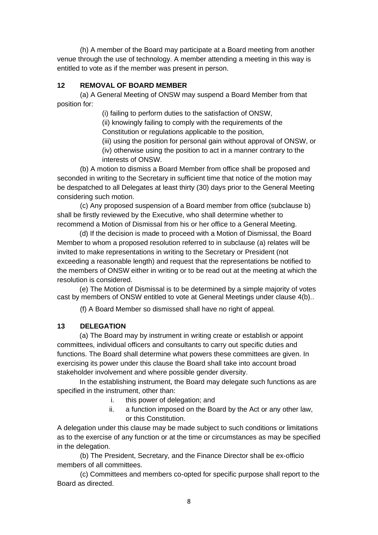(h) A member of the Board may participate at a Board meeting from another venue through the use of technology. A member attending a meeting in this way is entitled to vote as if the member was present in person.

## **12 REMOVAL OF BOARD MEMBER**

(a) A General Meeting of ONSW may suspend a Board Member from that position for:

(i) failing to perform duties to the satisfaction of ONSW,

(ii) knowingly failing to comply with the requirements of the

Constitution or regulations applicable to the position,

(iii) using the position for personal gain without approval of ONSW, or (iv) otherwise using the position to act in a manner contrary to the

interests of ONSW.

(b) A motion to dismiss a Board Member from office shall be proposed and seconded in writing to the Secretary in sufficient time that notice of the motion may be despatched to all Delegates at least thirty (30) days prior to the General Meeting considering such motion.

(c) Any proposed suspension of a Board member from office (subclause b) shall be firstly reviewed by the Executive, who shall determine whether to recommend a Motion of Dismissal from his or her office to a General Meeting.

(d) If the decision is made to proceed with a Motion of Dismissal, the Board Member to whom a proposed resolution referred to in subclause (a) relates will be invited to make representations in writing to the Secretary or President (not exceeding a reasonable length) and request that the representations be notified to the members of ONSW either in writing or to be read out at the meeting at which the resolution is considered.

(e) The Motion of Dismissal is to be determined by a simple majority of votes cast by members of ONSW entitled to vote at General Meetings under clause 4(b)..

(f) A Board Member so dismissed shall have no right of appeal.

## **13 DELEGATION**

(a) The Board may by instrument in writing create or establish or appoint committees, individual officers and consultants to carry out specific duties and functions. The Board shall determine what powers these committees are given. In exercising its power under this clause the Board shall take into account broad stakeholder involvement and where possible gender diversity.

In the establishing instrument, the Board may delegate such functions as are specified in the instrument, other than:

- i. this power of delegation; and
- ii. a function imposed on the Board by the Act or any other law, or this Constitution.

A delegation under this clause may be made subject to such conditions or limitations as to the exercise of any function or at the time or circumstances as may be specified in the delegation.

(b) The President, Secretary, and the Finance Director shall be ex-officio members of all committees.

(c) Committees and members co-opted for specific purpose shall report to the Board as directed.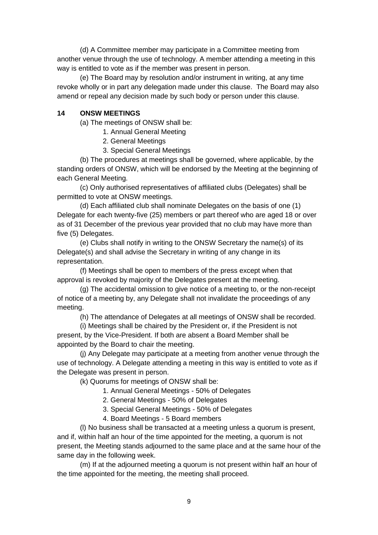(d) A Committee member may participate in a Committee meeting from another venue through the use of technology. A member attending a meeting in this way is entitled to vote as if the member was present in person.

(e) The Board may by resolution and/or instrument in writing, at any time revoke wholly or in part any delegation made under this clause. The Board may also amend or repeal any decision made by such body or person under this clause.

#### **14 ONSW MEETINGS**

(a) The meetings of ONSW shall be:

- 1. Annual General Meeting
- 2. General Meetings
- 3. Special General Meetings

(b) The procedures at meetings shall be governed, where applicable, by the standing orders of ONSW, which will be endorsed by the Meeting at the beginning of each General Meeting.

(c) Only authorised representatives of affiliated clubs (Delegates) shall be permitted to vote at ONSW meetings.

(d) Each affiliated club shall nominate Delegates on the basis of one (1) Delegate for each twenty-five (25) members or part thereof who are aged 18 or over as of 31 December of the previous year provided that no club may have more than five (5) Delegates.

(e) Clubs shall notify in writing to the ONSW Secretary the name(s) of its Delegate(s) and shall advise the Secretary in writing of any change in its representation.

(f) Meetings shall be open to members of the press except when that approval is revoked by majority of the Delegates present at the meeting.

(g) The accidental omission to give notice of a meeting to, or the non-receipt of notice of a meeting by, any Delegate shall not invalidate the proceedings of any meeting.

(h) The attendance of Delegates at all meetings of ONSW shall be recorded.

(i) Meetings shall be chaired by the President or, if the President is not present, by the Vice-President. If both are absent a Board Member shall be appointed by the Board to chair the meeting.

(j) Any Delegate may participate at a meeting from another venue through the use of technology. A Delegate attending a meeting in this way is entitled to vote as if the Delegate was present in person.

(k) Quorums for meetings of ONSW shall be:

1. Annual General Meetings - 50% of Delegates

2. General Meetings - 50% of Delegates

3. Special General Meetings - 50% of Delegates

4. Board Meetings - 5 Board members

(l) No business shall be transacted at a meeting unless a quorum is present, and if, within half an hour of the time appointed for the meeting, a quorum is not present, the Meeting stands adjourned to the same place and at the same hour of the same day in the following week.

(m) If at the adjourned meeting a quorum is not present within half an hour of the time appointed for the meeting, the meeting shall proceed.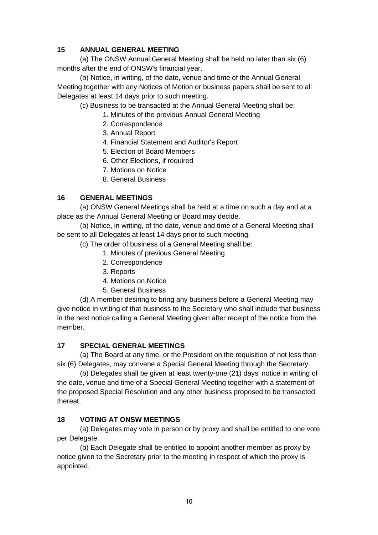# **15 ANNUAL GENERAL MEETING**

(a) The ONSW Annual General Meeting shall be held no later than six (6) months after the end of ONSW's financial year.

(b) Notice, in writing, of the date, venue and time of the Annual General Meeting together with any Notices of Motion or business papers shall be sent to all Delegates at least 14 days prior to such meeting.

(c) Business to be transacted at the Annual General Meeting shall be:

- 1. Minutes of the previous Annual General Meeting
- 2. Correspondence
- 3. Annual Report
- 4. Financial Statement and Auditor's Report
- 5. Election of Board Members
- 6. Other Elections, if required
- 7. Motions on Notice
- 8. General Business

# **16 GENERAL MEETINGS**

(a) ONSW General Meetings shall be held at a time on such a day and at a place as the Annual General Meeting or Board may decide.

(b) Notice, in writing, of the date, venue and time of a General Meeting shall be sent to all Delegates at least 14 days prior to such meeting.

- (c) The order of business of a General Meeting shall be:
	- 1. Minutes of previous General Meeting
	- 2. Correspondence
	- 3. Reports
	- 4. Motions on Notice
	- 5. General Business

(d) A member desiring to bring any business before a General Meeting may give notice in writing of that business to the Secretary who shall include that business in the next notice calling a General Meeting given after receipt of the notice from the member.

## **17 SPECIAL GENERAL MEETINGS**

(a) The Board at any time, or the President on the requisition of not less than six (6) Delegates, may convene a Special General Meeting through the Secretary.

(b) Delegates shall be given at least twenty-one (21) days' notice in writing of the date, venue and time of a Special General Meeting together with a statement of the proposed Special Resolution and any other business proposed to be transacted thereat.

# **18 VOTING AT ONSW MEETINGS**

(a) Delegates may vote in person or by proxy and shall be entitled to one vote per Delegate.

(b) Each Delegate shall be entitled to appoint another member as proxy by notice given to the Secretary prior to the meeting in respect of which the proxy is appointed.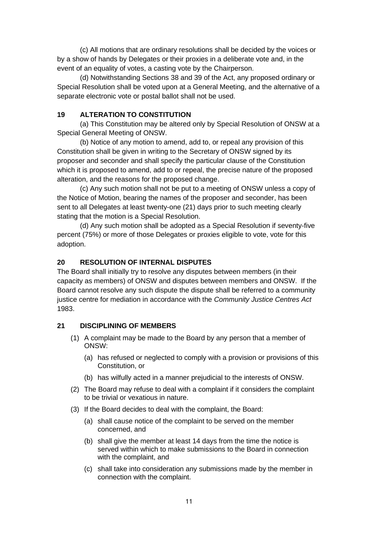(c) All motions that are ordinary resolutions shall be decided by the voices or by a show of hands by Delegates or their proxies in a deliberate vote and, in the event of an equality of votes, a casting vote by the Chairperson.

(d) Notwithstanding Sections 38 and 39 of the Act, any proposed ordinary or Special Resolution shall be voted upon at a General Meeting, and the alternative of a separate electronic vote or postal ballot shall not be used.

## **19 ALTERATION TO CONSTITUTION**

(a) This Constitution may be altered only by Special Resolution of ONSW at a Special General Meeting of ONSW.

(b) Notice of any motion to amend, add to, or repeal any provision of this Constitution shall be given in writing to the Secretary of ONSW signed by its proposer and seconder and shall specify the particular clause of the Constitution which it is proposed to amend, add to or repeal, the precise nature of the proposed alteration, and the reasons for the proposed change.

(c) Any such motion shall not be put to a meeting of ONSW unless a copy of the Notice of Motion, bearing the names of the proposer and seconder, has been sent to all Delegates at least twenty-one (21) days prior to such meeting clearly stating that the motion is a Special Resolution.

(d) Any such motion shall be adopted as a Special Resolution if seventy-five percent (75%) or more of those Delegates or proxies eligible to vote, vote for this adoption.

# **20 RESOLUTION OF INTERNAL DISPUTES**

The Board shall initially try to resolve any disputes between members (in their capacity as members) of ONSW and disputes between members and ONSW. If the Board cannot resolve any such dispute the dispute shall be referred to a community justice centre for mediation in accordance with the *Community Justice Centres Act* 1983.

## **21 DISCIPLINING OF MEMBERS**

- (1) A complaint may be made to the Board by any person that a member of ONSW:
	- (a) has refused or neglected to comply with a provision or provisions of this Constitution, or
	- (b) has wilfully acted in a manner prejudicial to the interests of ONSW.
- (2) The Board may refuse to deal with a complaint if it considers the complaint to be trivial or vexatious in nature.
- (3) If the Board decides to deal with the complaint, the Board:
	- (a) shall cause notice of the complaint to be served on the member concerned, and
	- (b) shall give the member at least 14 days from the time the notice is served within which to make submissions to the Board in connection with the complaint, and
	- (c) shall take into consideration any submissions made by the member in connection with the complaint.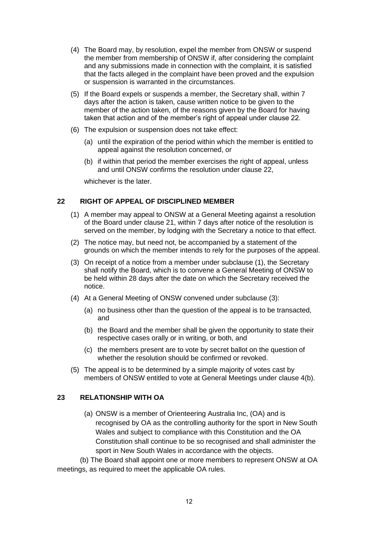- (4) The Board may, by resolution, expel the member from ONSW or suspend the member from membership of ONSW if, after considering the complaint and any submissions made in connection with the complaint, it is satisfied that the facts alleged in the complaint have been proved and the expulsion or suspension is warranted in the circumstances.
- (5) If the Board expels or suspends a member, the Secretary shall, within 7 days after the action is taken, cause written notice to be given to the member of the action taken, of the reasons given by the Board for having taken that action and of the member's right of appeal under clause 22.
- (6) The expulsion or suspension does not take effect:
	- (a) until the expiration of the period within which the member is entitled to appeal against the resolution concerned, or
	- (b) if within that period the member exercises the right of appeal, unless and until ONSW confirms the resolution under clause 22,

whichever is the later.

## **22 RIGHT OF APPEAL OF DISCIPLINED MEMBER**

- (1) A member may appeal to ONSW at a General Meeting against a resolution of the Board under clause 21, within 7 days after notice of the resolution is served on the member, by lodging with the Secretary a notice to that effect.
- (2) The notice may, but need not, be accompanied by a statement of the grounds on which the member intends to rely for the purposes of the appeal.
- (3) On receipt of a notice from a member under subclause (1), the Secretary shall notify the Board, which is to convene a General Meeting of ONSW to be held within 28 days after the date on which the Secretary received the notice.
- (4) At a General Meeting of ONSW convened under subclause (3):
	- (a) no business other than the question of the appeal is to be transacted, and
	- (b) the Board and the member shall be given the opportunity to state their respective cases orally or in writing, or both, and
	- (c) the members present are to vote by secret ballot on the question of whether the resolution should be confirmed or revoked.
- (5) The appeal is to be determined by a simple majority of votes cast by members of ONSW entitled to vote at General Meetings under clause 4(b).

#### **23 RELATIONSHIP WITH OA**

(a) ONSW is a member of Orienteering Australia Inc, (OA) and is recognised by OA as the controlling authority for the sport in New South Wales and subject to compliance with this Constitution and the OA Constitution shall continue to be so recognised and shall administer the sport in New South Wales in accordance with the objects.

(b) The Board shall appoint one or more members to represent ONSW at OA meetings, as required to meet the applicable OA rules.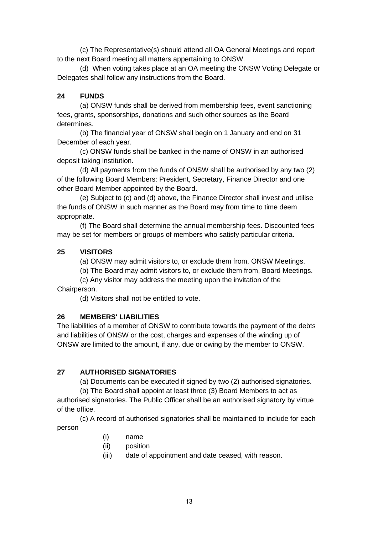(c) The Representative(s) should attend all OA General Meetings and report to the next Board meeting all matters appertaining to ONSW.

(d) When voting takes place at an OA meeting the ONSW Voting Delegate or Delegates shall follow any instructions from the Board.

# **24 FUNDS**

(a) ONSW funds shall be derived from membership fees, event sanctioning fees, grants, sponsorships, donations and such other sources as the Board determines.

(b) The financial year of ONSW shall begin on 1 January and end on 31 December of each year.

(c) ONSW funds shall be banked in the name of ONSW in an authorised deposit taking institution.

(d) All payments from the funds of ONSW shall be authorised by any two (2) of the following Board Members: President, Secretary, Finance Director and one other Board Member appointed by the Board.

(e) Subject to (c) and (d) above, the Finance Director shall invest and utilise the funds of ONSW in such manner as the Board may from time to time deem appropriate.

(f) The Board shall determine the annual membership fees. Discounted fees may be set for members or groups of members who satisfy particular criteria.

# **25 VISITORS**

(a) ONSW may admit visitors to, or exclude them from, ONSW Meetings.

(b) The Board may admit visitors to, or exclude them from, Board Meetings.

(c) Any visitor may address the meeting upon the invitation of the Chairperson.

(d) Visitors shall not be entitled to vote.

## **26 MEMBERS' LIABILITIES**

The liabilities of a member of ONSW to contribute towards the payment of the debts and liabilities of ONSW or the cost, charges and expenses of the winding up of ONSW are limited to the amount, if any, due or owing by the member to ONSW.

# **27 AUTHORISED SIGNATORIES**

(a) Documents can be executed if signed by two (2) authorised signatories.

(b) The Board shall appoint at least three (3) Board Members to act as authorised signatories. The Public Officer shall be an authorised signatory by virtue of the office.

(c) A record of authorised signatories shall be maintained to include for each person

- (i) name
- (ii) position
- (iii) date of appointment and date ceased, with reason.